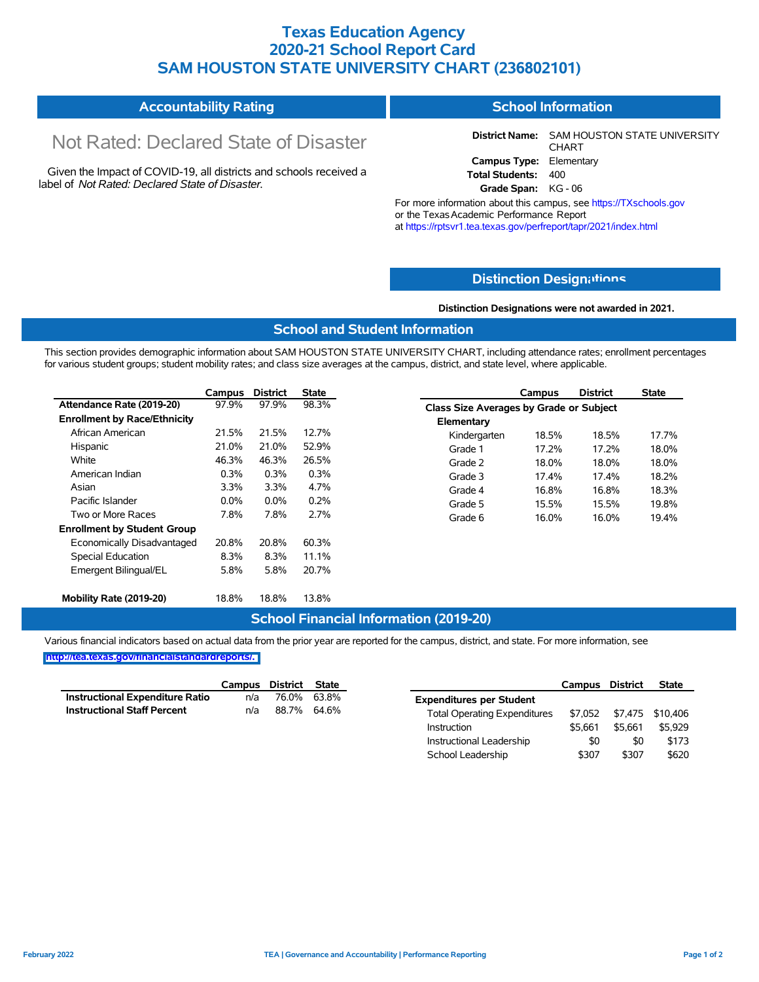## **Texas Education Agency 2020-21 School Report Card SAM HOUSTON STATE UNIVERSITY CHART (236802101)**

| <b>Accountability Rating</b> | <b>School Information</b> |
|------------------------------|---------------------------|
|------------------------------|---------------------------|

# Not Rated: Declared State of Disaster

Given the Impact of COVID-19, all districts and schools received a label of *Not Rated: Declared State of Disaster.*

**District Name:** SAM HOUSTON STATE UNIVERSITY CHART **Campus Type:** Elementary **Total Students:** 400

**Grade Span:** KG - 06

For more information about this campus, see https://TXschools.gov or the TexasAcademic Performance Report at https://rptsvr1.tea.texas.gov/perfreport/tapr/2021/index.html

#### **Distinction Design[ations](https://TXschools.gov)**

**Distinction Designations were not awarded in 2021.**

School Leadership  $$307$  \$307 \$620

#### **School and Student Information**

This section provides demographic information about SAM HOUSTON STATE UNIVERSITY CHART, including attendance rates; enrollment percentages for various student groups; student mobility rates; and class size averages at the campus, district, and state level, where applicable.

|                                     | Campus  | <b>District</b> | <b>State</b> |              | Campus                                  | <b>District</b> | <b>State</b> |  |  |
|-------------------------------------|---------|-----------------|--------------|--------------|-----------------------------------------|-----------------|--------------|--|--|
| Attendance Rate (2019-20)           | 97.9%   | 97.9%           | 98.3%        |              | Class Size Averages by Grade or Subject |                 |              |  |  |
| <b>Enrollment by Race/Ethnicity</b> |         |                 |              | Elementary   |                                         |                 |              |  |  |
| African American                    | 21.5%   | 21.5%           | 12.7%        | Kindergarten | 18.5%                                   | 18.5%           | 17.7%        |  |  |
| Hispanic                            | 21.0%   | 21.0%           | 52.9%        | Grade 1      | 17.2%                                   | 17.2%           | 18.0%        |  |  |
| White                               | 46.3%   | 46.3%           | 26.5%        | Grade 2      | 18.0%                                   | 18.0%           | 18.0%        |  |  |
| American Indian                     | 0.3%    | 0.3%            | 0.3%         | Grade 3      | 17.4%                                   | 17.4%           | 18.2%        |  |  |
| Asian                               | 3.3%    | 3.3%            | 4.7%         | Grade 4      | 16.8%                                   | 16.8%           | 18.3%        |  |  |
| Pacific Islander                    | $0.0\%$ | $0.0\%$         | 0.2%         | Grade 5      | 15.5%                                   | 15.5%           | 19.8%        |  |  |
| Two or More Races                   | 7.8%    | 7.8%            | 2.7%         | Grade 6      | 16.0%                                   | 16.0%           | 19.4%        |  |  |
| <b>Enrollment by Student Group</b>  |         |                 |              |              |                                         |                 |              |  |  |
| Economically Disadvantaged          | 20.8%   | 20.8%           | 60.3%        |              |                                         |                 |              |  |  |
| Special Education                   | 8.3%    | 8.3%            | 11.1%        |              |                                         |                 |              |  |  |
| Emergent Bilingual/EL               | 5.8%    | 5.8%            | 20.7%        |              |                                         |                 |              |  |  |
|                                     |         |                 |              |              |                                         |                 |              |  |  |
| Mobility Rate (2019-20)             | 18.8%   | 18.8%           | 13.8%        |              |                                         |                 |              |  |  |

#### **School Financial Information (2019-20)**

Various financial indicators based on actual data from the prior year are reported for the campus, district, and state. For more information, see

**[http://tea.texas.gov/financialstandardreports/.](http://tea.texas.gov/financialstandardreports/)**

|                                        | Campus | District | <b>State</b> |                                     | Campus  | District | <b>State</b>     |
|----------------------------------------|--------|----------|--------------|-------------------------------------|---------|----------|------------------|
| <b>Instructional Expenditure Ratio</b> | n/a    | 76.0%    | 63.8%        | <b>Expenditures per Student</b>     |         |          |                  |
| <b>Instructional Staff Percent</b>     | n/a    | 88.7%    | 64.6%        | <b>Total Operating Expenditures</b> | \$7.052 |          | \$7,475 \$10,406 |
|                                        |        |          |              | Instruction                         | \$5.661 | \$5.661  | \$5,929          |
|                                        |        |          |              | Instructional Leadership            | \$0     | \$0      | \$173            |